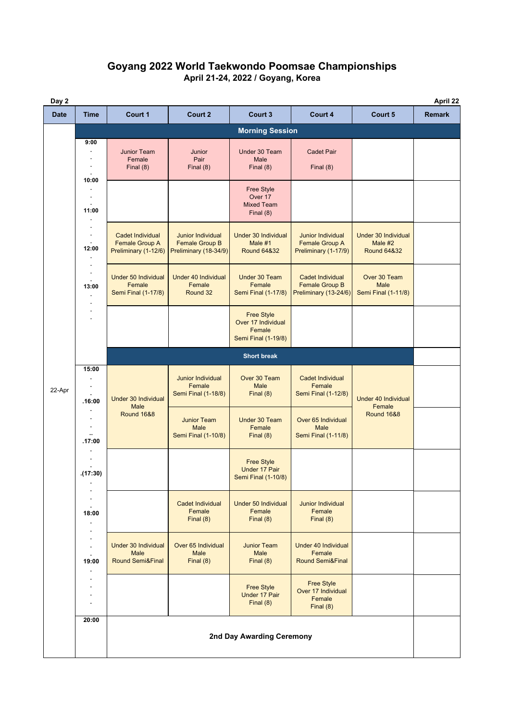## **Goyang 2022 World Taekwondo Poomsae Championships April 21-24, 2022 / Goyang, Korea**

| Day 2       | April 22                  |                                                                          |                                                                            |                                                                                 |                                                                           |                                                                 |               |  |
|-------------|---------------------------|--------------------------------------------------------------------------|----------------------------------------------------------------------------|---------------------------------------------------------------------------------|---------------------------------------------------------------------------|-----------------------------------------------------------------|---------------|--|
| <b>Date</b> | <b>Time</b>               | Court 1                                                                  | Court 2                                                                    | Court 3                                                                         | Court 4                                                                   | Court 5                                                         | <b>Remark</b> |  |
|             |                           | <b>Morning Session</b>                                                   |                                                                            |                                                                                 |                                                                           |                                                                 |               |  |
|             | 9:00                      | <b>Junior Team</b><br>Female<br>Final $(8)$                              | Junior<br>Pair<br>Final $(8)$                                              | Under 30 Team<br>Male<br>Final $(8)$                                            | <b>Cadet Pair</b><br>Final $(8)$                                          |                                                                 |               |  |
|             | 10:00<br>11:00<br>12:00   |                                                                          |                                                                            | <b>Free Style</b><br>Over 17<br><b>Mixed Team</b><br>Final $(8)$                |                                                                           |                                                                 |               |  |
|             |                           | Cadet Individual<br><b>Female Group A</b><br>Preliminary (1-12/6)        | <b>Junior Individual</b><br><b>Female Group B</b><br>Preliminary (18-34/9) | <b>Under 30 Individual</b><br>Male #1<br><b>Round 64&amp;32</b>                 | <b>Junior Individual</b><br><b>Female Group A</b><br>Preliminary (1-17/9) | <b>Under 30 Individual</b><br>Male #2<br><b>Round 64&amp;32</b> |               |  |
|             | 13:00                     | <b>Under 50 Individual</b><br>Female<br><b>Semi Final (1-17/8)</b>       | <b>Under 40 Individual</b><br>Female<br>Round 32                           | Under 30 Team<br>Female<br><b>Semi Final (1-17/8)</b>                           | <b>Cadet Individual</b><br><b>Female Group B</b><br>Preliminary (13-24/6) | Over 30 Team<br><b>Male</b><br><b>Semi Final (1-11/8)</b>       |               |  |
|             |                           |                                                                          |                                                                            | <b>Free Style</b><br>Over 17 Individual<br>Female<br><b>Semi Final (1-19/8)</b> |                                                                           |                                                                 |               |  |
|             |                           | <b>Short break</b>                                                       |                                                                            |                                                                                 |                                                                           |                                                                 |               |  |
| 22-Apr      | 15:00<br>.16:00<br>.17:00 | <b>Under 30 Individual</b><br>Male                                       | <b>Junior Individual</b><br>Female<br><b>Semi Final (1-18/8)</b>           | Over 30 Team<br>Male<br>Final $(8)$                                             | <b>Cadet Individual</b><br>Female<br><b>Semi Final (1-12/8)</b>           | <b>Under 40 Individual</b><br>Female<br><b>Round 16&amp;8</b>   |               |  |
|             |                           | <b>Round 16&amp;8</b>                                                    | <b>Junior Team</b><br><b>Male</b><br><b>Semi Final (1-10/8)</b>            | Under 30 Team<br>Female<br>Final $(8)$                                          | Over 65 Individual<br><b>Male</b><br><b>Semi Final (1-11/8)</b>           |                                                                 |               |  |
|             | (17:30)                   |                                                                          |                                                                            | <b>Free Style</b><br><b>Under 17 Pair</b><br><b>Semi Final (1-10/8)</b>         |                                                                           |                                                                 |               |  |
|             | 18:00                     |                                                                          | <b>Cadet Individual</b><br>Female<br>Final $(8)$                           | <b>Under 50 Individual</b><br>Female<br>Final $(8)$                             | <b>Junior Individual</b><br>Female<br>Final $(8)$                         |                                                                 |               |  |
|             | 19:00                     | <b>Under 30 Individual</b><br><b>Male</b><br><b>Round Semi&amp;Final</b> | Over 65 Individual<br><b>Male</b><br>Final $(8)$                           | <b>Junior Team</b><br><b>Male</b><br>Final $(8)$                                | <b>Under 40 Individual</b><br>Female<br><b>Round Semi&amp;Final</b>       |                                                                 |               |  |
|             |                           |                                                                          |                                                                            | <b>Free Style</b><br>Under 17 Pair<br>Final $(8)$                               | <b>Free Style</b><br>Over 17 Individual<br>Female<br>Final $(8)$          |                                                                 |               |  |
|             | 20:00                     | 2nd Day Awarding Ceremony                                                |                                                                            |                                                                                 |                                                                           |                                                                 |               |  |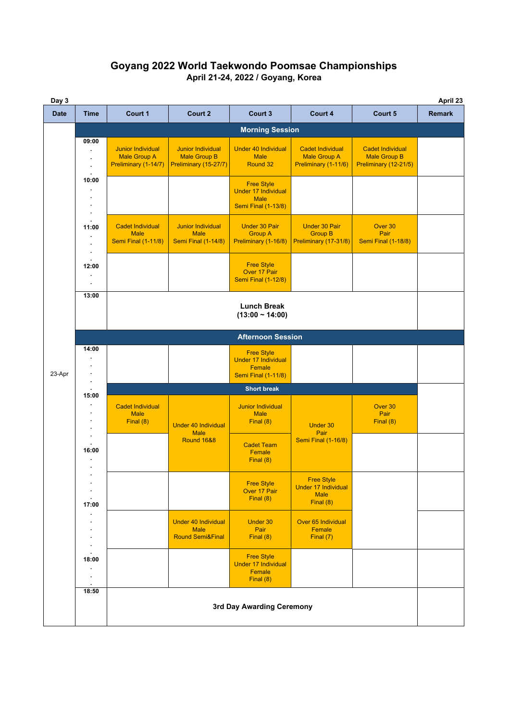## **Goyang 2022 World Taekwondo Poomsae Championships April 21-24, 2022 / Goyang, Korea**

| Day 3       |       |                                                                         |                                                                          |                                                                                              |                                                                             |                                                                  |               |  |  |
|-------------|-------|-------------------------------------------------------------------------|--------------------------------------------------------------------------|----------------------------------------------------------------------------------------------|-----------------------------------------------------------------------------|------------------------------------------------------------------|---------------|--|--|
| <b>Date</b> | Time  | Court 1                                                                 | Court 2                                                                  | Court 3                                                                                      | Court 4                                                                     | Court 5                                                          | <b>Remark</b> |  |  |
|             |       | <b>Morning Session</b>                                                  |                                                                          |                                                                                              |                                                                             |                                                                  |               |  |  |
|             | 09:00 | <b>Junior Individual</b><br><b>Male Group A</b><br>Preliminary (1-14/7) | <b>Junior Individual</b><br><b>Male Group B</b><br>Preliminary (15-27/7) | <b>Under 40 Individual</b><br><b>Male</b><br>Round 32                                        | <b>Cadet Individual</b><br><b>Male Group A</b><br>Preliminary (1-11/6)      | Cadet Individual<br><b>Male Group B</b><br>Preliminary (12-21/5) |               |  |  |
|             | 10:00 |                                                                         |                                                                          | <b>Free Style</b><br><b>Under 17 Individual</b><br><b>Male</b><br><b>Semi Final (1-13/8)</b> |                                                                             |                                                                  |               |  |  |
|             | 11:00 | <b>Cadet Individual</b><br><b>Male</b><br><b>Semi Final (1-11/8)</b>    | <b>Junior Individual</b><br><b>Male</b><br><b>Semi Final (1-14/8)</b>    | <b>Under 30 Pair</b><br><b>Group A</b><br>Preliminary (1-16/8)                               | <b>Under 30 Pair</b><br><b>Group B</b><br>Preliminary (17-31/8)             | Over 30<br>Pair<br><b>Semi Final (1-18/8)</b>                    |               |  |  |
|             | 12:00 |                                                                         |                                                                          | <b>Free Style</b><br>Over 17 Pair<br><b>Semi Final (1-12/8)</b>                              |                                                                             |                                                                  |               |  |  |
|             | 13:00 | <b>Lunch Break</b><br>$(13:00 - 14:00)$                                 |                                                                          |                                                                                              |                                                                             |                                                                  |               |  |  |
|             |       | <b>Afternoon Session</b>                                                |                                                                          |                                                                                              |                                                                             |                                                                  |               |  |  |
| 23-Apr      | 14:00 |                                                                         |                                                                          | <b>Free Style</b><br><b>Under 17 Individual</b><br>Female<br><b>Semi Final (1-11/8)</b>      |                                                                             |                                                                  |               |  |  |
|             | 15:00 | <b>Short break</b>                                                      |                                                                          |                                                                                              |                                                                             |                                                                  |               |  |  |
|             |       | <b>Cadet Individual</b><br><b>Male</b><br>Final $(8)$                   | <b>Under 40 Individual</b><br><b>Male</b>                                | <b>Junior Individual</b><br><b>Male</b><br>Final $(8)$                                       | Under 30<br>Pair                                                            | Over 30<br>Pair<br>Final (8)                                     |               |  |  |
|             | 16:00 |                                                                         | <b>Round 16&amp;8</b>                                                    | <b>Cadet Team</b><br>Female<br>Final $(8)$                                                   | <b>Semi Final (1-16/8)</b>                                                  |                                                                  |               |  |  |
|             | 17:00 |                                                                         |                                                                          | <b>Free Style</b><br>Over 17 Pair<br>Final $(8)$                                             | <b>Free Style</b><br><b>Under 17 Individual</b><br><b>Male</b><br>Final (8) |                                                                  |               |  |  |
|             |       |                                                                         | <b>Under 40 Individual</b><br><b>Male</b><br><b>Round Semi&amp;Final</b> | Under 30<br>Pair<br>Final $(8)$                                                              | Over 65 Individual<br>Female<br>Final $(7)$                                 |                                                                  |               |  |  |
|             | 18:00 |                                                                         |                                                                          | <b>Free Style</b><br>Under 17 Individual<br>Female<br>Final (8)                              |                                                                             |                                                                  |               |  |  |
|             | 18:50 | 3rd Day Awarding Ceremony                                               |                                                                          |                                                                                              |                                                                             |                                                                  |               |  |  |